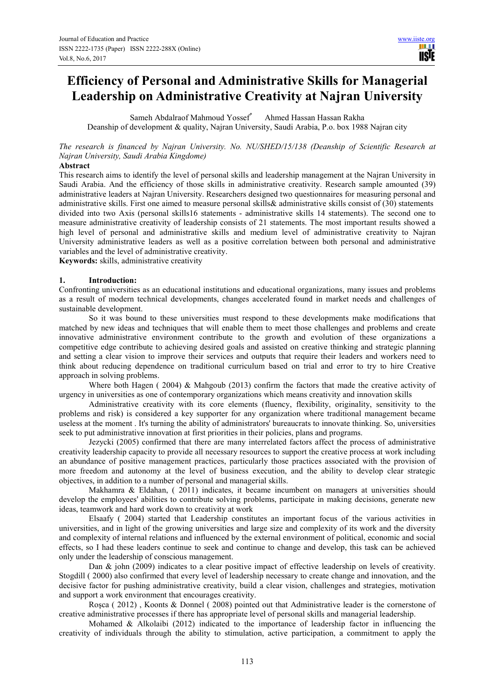# **Efficiency of Personal and Administrative Skills for Managerial Leadership on Administrative Creativity at Najran University**

Sameh Abdalraof Mahmoud Yossef\* Ahmed Hassan Hassan Rakha Deanship of development & quality, Najran University, Saudi Arabia, P.o. box 1988 Najran city

*The research is financed by Najran University. No. NU/SHED/15/138 (Deanship of Scientific Research at Najran University, Saudi Arabia Kingdome)*

#### **Abstract**

This research aims to identify the level of personal skills and leadership management at the Najran University in Saudi Arabia. And the efficiency of those skills in administrative creativity. Research sample amounted (39) administrative leaders at Najran University. Researchers designed two questionnaires for measuring personal and administrative skills. First one aimed to measure personal skills& administrative skills consist of (30) statements divided into two Axis (personal skills16 statements - administrative skills 14 statements). The second one to measure administrative creativity of leadership consists of 21 statements. The most important results showed a high level of personal and administrative skills and medium level of administrative creativity to Najran University administrative leaders as well as a positive correlation between both personal and administrative variables and the level of administrative creativity.

**Keywords:** skills, administrative creativity

#### **1. Introduction:**

Confronting universities as an educational institutions and educational organizations, many issues and problems as a result of modern technical developments, changes accelerated found in market needs and challenges of sustainable development.

So it was bound to these universities must respond to these developments make modifications that matched by new ideas and techniques that will enable them to meet those challenges and problems and create innovative administrative environment contribute to the growth and evolution of these organizations a competitive edge contribute to achieving desired goals and assisted on creative thinking and strategic planning and setting a clear vision to improve their services and outputs that require their leaders and workers need to think about reducing dependence on traditional curriculum based on trial and error to try to hire Creative approach in solving problems.

Where both Hagen ( 2004) & Mahgoub (2013) confirm the factors that made the creative activity of urgency in universities as one of contemporary organizations which means creativity and innovation skills

Administrative creativity with its core elements (fluency, flexibility, originality, sensitivity to the problems and risk) is considered a key supporter for any organization where traditional management became useless at the moment . It's turning the ability of administrators' bureaucrats to innovate thinking. So, universities seek to put administrative innovation at first priorities in their policies, plans and programs.

Jezycki (2005) confirmed that there are many interrelated factors affect the process of administrative creativity leadership capacity to provide all necessary resources to support the creative process at work including an abundance of positive management practices, particularly those practices associated with the provision of more freedom and autonomy at the level of business execution, and the ability to develop clear strategic objectives, in addition to a number of personal and managerial skills.

Makhamra & Eldahan, ( 2011) indicates, it became incumbent on managers at universities should develop the employees' abilities to contribute solving problems, participate in making decisions, generate new ideas, teamwork and hard work down to creativity at work

Elsaafy ( 2004) started that Leadership constitutes an important focus of the various activities in universities, and in light of the growing universities and large size and complexity of its work and the diversity and complexity of internal relations and influenced by the external environment of political, economic and social effects, so I had these leaders continue to seek and continue to change and develop, this task can be achieved only under the leadership of conscious management.

Dan & john (2009) indicates to a clear positive impact of effective leadership on levels of creativity. Stogdill ( 2000) also confirmed that every level of leadership necessary to create change and innovation, and the decisive factor for pushing administrative creativity, build a clear vision, challenges and strategies, motivation and support a work environment that encourages creativity.

Rosca ( 2012), Koonts & Donnel ( 2008) pointed out that Administrative leader is the cornerstone of creative administrative processes if there has appropriate level of personal skills and managerial leadership.

Mohamed & Alkolaibi (2012) indicated to the importance of leadership factor in influencing the creativity of individuals through the ability to stimulation, active participation, a commitment to apply the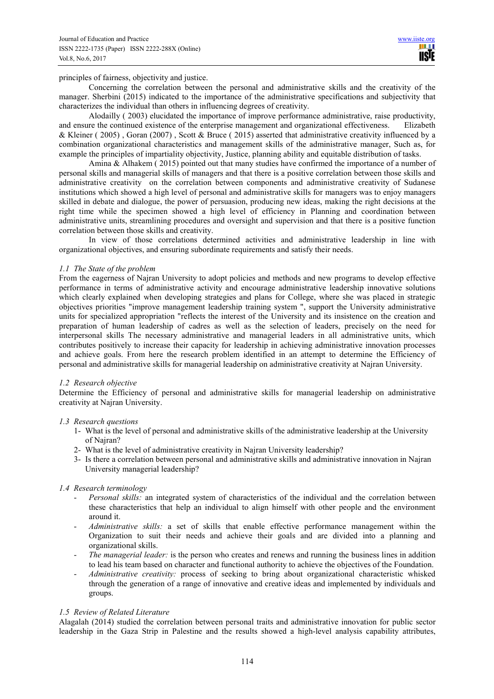principles of fairness, objectivity and justice.

Concerning the correlation between the personal and administrative skills and the creativity of the manager. Sherbini (2015) indicated to the importance of the administrative specifications and subjectivity that characterizes the individual than others in influencing degrees of creativity.

Alodailly ( 2003) elucidated the importance of improve performance administrative, raise productivity, and ensure the continued existence of the enterprise management and organizational effectiveness. Elizabeth & Kleiner ( 2005) , Goran (2007) , Scott & Bruce ( 2015) asserted that administrative creativity influenced by a combination organizational characteristics and management skills of the administrative manager, Such as, for example the principles of impartiality objectivity, Justice, planning ability and equitable distribution of tasks.

Amina & Alhakem ( 2015) pointed out that many studies have confirmed the importance of a number of personal skills and managerial skills of managers and that there is a positive correlation between those skills and administrative creativity on the correlation between components and administrative creativity of Sudanese institutions which showed a high level of personal and administrative skills for managers was to enjoy managers skilled in debate and dialogue, the power of persuasion, producing new ideas, making the right decisions at the right time while the specimen showed a high level of efficiency in Planning and coordination between administrative units, streamlining procedures and oversight and supervision and that there is a positive function correlation between those skills and creativity.

In view of those correlations determined activities and administrative leadership in line with organizational objectives, and ensuring subordinate requirements and satisfy their needs.

#### *1.1 The State of the problem*

From the eagerness of Najran University to adopt policies and methods and new programs to develop effective performance in terms of administrative activity and encourage administrative leadership innovative solutions which clearly explained when developing strategies and plans for College, where she was placed in strategic objectives priorities "improve management leadership training system ", support the University administrative units for specialized appropriation "reflects the interest of the University and its insistence on the creation and preparation of human leadership of cadres as well as the selection of leaders, precisely on the need for interpersonal skills The necessary administrative and managerial leaders in all administrative units, which contributes positively to increase their capacity for leadership in achieving administrative innovation processes and achieve goals. From here the research problem identified in an attempt to determine the Efficiency of personal and administrative skills for managerial leadership on administrative creativity at Najran University.

# *1.2 Research objective*

Determine the Efficiency of personal and administrative skills for managerial leadership on administrative creativity at Najran University.

# *1.3 Research questions*

- 1- What is the level of personal and administrative skills of the administrative leadership at the University of Najran?
- 2- What is the level of administrative creativity in Najran University leadership?
- 3- Is there a correlation between personal and administrative skills and administrative innovation in Najran University managerial leadership?

# *1.4 Research terminology*

- *Personal skills:* an integrated system of characteristics of the individual and the correlation between these characteristics that help an individual to align himself with other people and the environment around it.
- *Administrative skills:* a set of skills that enable effective performance management within the Organization to suit their needs and achieve their goals and are divided into a planning and organizational skills.
- *The managerial leader:* is the person who creates and renews and running the business lines in addition to lead his team based on character and functional authority to achieve the objectives of the Foundation.
- *Administrative creativity:* process of seeking to bring about organizational characteristic whisked through the generation of a range of innovative and creative ideas and implemented by individuals and groups.

#### *1.5 Review of Related Literature*

Alagalah (2014) studied the correlation between personal traits and administrative innovation for public sector leadership in the Gaza Strip in Palestine and the results showed a high-level analysis capability attributes,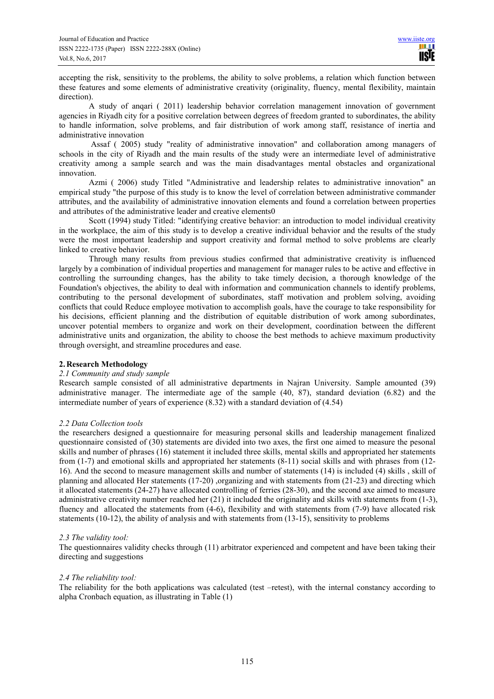accepting the risk, sensitivity to the problems, the ability to solve problems, a relation which function between these features and some elements of administrative creativity (originality, fluency, mental flexibility, maintain direction).

A study of anqari ( 2011) leadership behavior correlation management innovation of government agencies in Riyadh city for a positive correlation between degrees of freedom granted to subordinates, the ability to handle information, solve problems, and fair distribution of work among staff, resistance of inertia and administrative innovation

 Assaf ( 2005) study "reality of administrative innovation" and collaboration among managers of schools in the city of Riyadh and the main results of the study were an intermediate level of administrative creativity among a sample search and was the main disadvantages mental obstacles and organizational innovation.

Azmi ( 2006) study Titled "Administrative and leadership relates to administrative innovation" an empirical study "the purpose of this study is to know the level of correlation between administrative commander attributes, and the availability of administrative innovation elements and found a correlation between properties and attributes of the administrative leader and creative elements0

Scott (1994) study Titled: "identifying creative behavior: an introduction to model individual creativity in the workplace, the aim of this study is to develop a creative individual behavior and the results of the study were the most important leadership and support creativity and formal method to solve problems are clearly linked to creative behavior.

Through many results from previous studies confirmed that administrative creativity is influenced largely by a combination of individual properties and management for manager rules to be active and effective in controlling the surrounding changes, has the ability to take timely decision, a thorough knowledge of the Foundation's objectives, the ability to deal with information and communication channels to identify problems, contributing to the personal development of subordinates, staff motivation and problem solving, avoiding conflicts that could Reduce employee motivation to accomplish goals, have the courage to take responsibility for his decisions, efficient planning and the distribution of equitable distribution of work among subordinates, uncover potential members to organize and work on their development, coordination between the different administrative units and organization, the ability to choose the best methods to achieve maximum productivity through oversight, and streamline procedures and ease.

# **2. Research Methodology**

# *2.1 Community and study sample*

Research sample consisted of all administrative departments in Najran University. Sample amounted (39) administrative manager. The intermediate age of the sample (40, 87), standard deviation (6.82) and the intermediate number of years of experience (8.32) with a standard deviation of (4.54)

# *2.2 Data Collection tools*

the researchers designed a questionnaire for measuring personal skills and leadership management finalized questionnaire consisted of (30) statements are divided into two axes, the first one aimed to measure the pesonal skills and number of phrases (16) statement it included three skills, mental skills and appropriated her statements from (1-7) and emotional skills and appropriated her statements (8-11) social skills and with phrases from (12- 16). And the second to measure management skills and number of statements (14) is included (4) skills , skill of planning and allocated Her statements (17-20) ,organizing and with statements from (21-23) and directing which it allocated statements (24-27) have allocated controlling of ferries (28-30), and the second axe aimed to measure administrative creativity number reached her (21) it included the originality and skills with statements from (1-3), fluency and allocated the statements from (4-6), flexibility and with statements from (7-9) have allocated risk statements (10-12), the ability of analysis and with statements from (13-15), sensitivity to problems

# *2.3 The validity tool:*

The questionnaires validity checks through (11) arbitrator experienced and competent and have been taking their directing and suggestions

# *2.4 The reliability tool:*

The reliability for the both applications was calculated (test –retest), with the internal constancy according to alpha Cronbach equation, as illustrating in Table (1)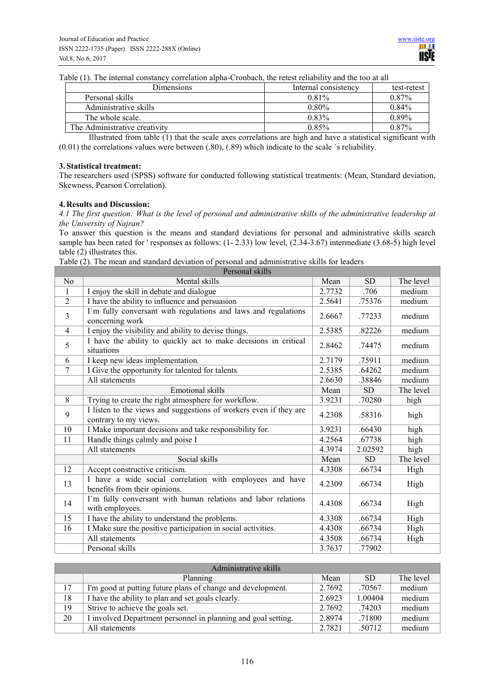Table (1). The internal constancy correlation alpha-Cronbach, the retest reliability and the too at all

| Dimensions                    | Internal consistency | test-retest |
|-------------------------------|----------------------|-------------|
| Personal skills               | 0.81%                | $0.87\%$    |
| Administrative skills         | $0.80\%$             | 0.84%       |
| The whole scale.              | $0.83\%$             | $0.89\%$    |
| The Administrative creativity | 0.85%                | 0.87%       |

Illustrated from table (1) that the scale axes correlations are high and have a statistical significant with (0.01) the correlations values were between (.80), (.89) which indicate to the scale `s reliability.

#### **3. Statistical treatment:**

The researchers used (SPSS) software for conducted following statistical treatments: (Mean, Standard deviation, Skewness, Pearson Correlation).

#### **4. Results and Discussion:**

*4.1 The first question: What is the level of personal and administrative skills of the administrative leadership at the University of Najran?* 

To answer this question is the means and standard deviations for personal and administrative skills search sample has been rated for ' responses as follows:  $(1-2.33)$  low level,  $(2.34-3.67)$  intermediate  $(3.68-5)$  high level table (2) illustrates this.

Table (2). The mean and standard deviation of personal and administrative skills for leaders

| Personal skills |                                                                                            |        |           |           |  |  |  |
|-----------------|--------------------------------------------------------------------------------------------|--------|-----------|-----------|--|--|--|
| No              | Mental skills                                                                              | Mean   | <b>SD</b> | The level |  |  |  |
| 1               | I enjoy the skill in debate and dialogue                                                   | 2.7732 | .706      | medium    |  |  |  |
| $\overline{2}$  | I have the ability to influence and persuasion                                             | 2.5641 | .75376    | medium    |  |  |  |
| 3               | I'm fully conversant with regulations and laws and regulations<br>concerning work          | 2.6667 | .77233    | medium    |  |  |  |
| $\overline{4}$  | I enjoy the visibility and ability to devise things.                                       | 2.5385 | .82226    | medium    |  |  |  |
| 5               | I have the ability to quickly act to make decisions in critical<br>situations              | 2.8462 | .74475    | medium    |  |  |  |
| 6               | I keep new ideas implementation.                                                           | 2.7179 | .75911    | medium    |  |  |  |
| 7               | I Give the opportunity for talented for talents                                            | 2.5385 | .64262    | medium    |  |  |  |
|                 | All statements                                                                             | 2.6630 | .38846    | medium    |  |  |  |
|                 | <b>Emotional skills</b>                                                                    | Mean   | <b>SD</b> | The level |  |  |  |
| 8               | Trying to create the right atmosphere for workflow.                                        | 3.9231 | .70280    | high      |  |  |  |
| 9               | I listen to the views and suggestions of workers even if they are<br>contrary to my views. | 4.2308 | .58316    | high      |  |  |  |
| 10              | I Make important decisions and take responsibility for.                                    | 3.9231 | .66430    | high      |  |  |  |
| 11              | Handle things calmly and poise I                                                           | 4.2564 | .67738    | high      |  |  |  |
|                 | All statements                                                                             | 4.3974 | 2.02592   | high      |  |  |  |
|                 | Social skills                                                                              | Mean   | <b>SD</b> | The level |  |  |  |
| 12              | Accept constructive criticism.                                                             | 4.3308 | .66734    | High      |  |  |  |
| 13              | I have a wide social correlation with employees and have<br>benefits from their opinions.  | 4.2309 | .66734    | High      |  |  |  |
| 14              | I'm fully conversant with human relations and labor relations<br>with employees.           | 4.4308 | .66734    | High      |  |  |  |
| 15              | I have the ability to understand the problems.                                             | 4.3308 | .66734    | High      |  |  |  |
| 16              | I Make sure the positive participation in social activities.                               | 4.4308 | .66734    | High      |  |  |  |
|                 | All statements                                                                             | 4.3508 | .66734    | High      |  |  |  |
|                 | Personal skills                                                                            | 3.7637 | .77902    |           |  |  |  |

| Administrative skills |                                                               |        |         |           |  |  |  |  |
|-----------------------|---------------------------------------------------------------|--------|---------|-----------|--|--|--|--|
|                       | Planning                                                      | Mean   | SD.     | The level |  |  |  |  |
| 17                    | I'm good at putting future plans of change and development.   | 2.7692 | .70567  | medium    |  |  |  |  |
| 18                    | I have the ability to plan and set goals clearly.             | 2.6923 | 1.00404 | medium    |  |  |  |  |
| 19                    | Strive to achieve the goals set.                              | 2.7692 | .74203  | medium    |  |  |  |  |
| 20                    | I involved Department personnel in planning and goal setting. | 2.8974 | .71800  | medium    |  |  |  |  |
|                       | All statements                                                | 2.7821 | .50712  | medium    |  |  |  |  |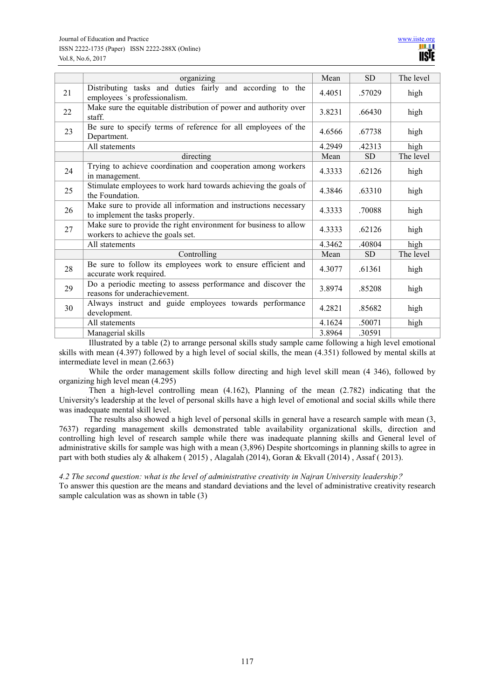|    | organizing                                                                                            | Mean   | SD        | The level |
|----|-------------------------------------------------------------------------------------------------------|--------|-----------|-----------|
| 21 | Distributing tasks and duties fairly and according to the<br>employees `s professionalism.            | 4.4051 | .57029    | high      |
| 22 | Make sure the equitable distribution of power and authority over<br>staff.                            | 3.8231 | .66430    | high      |
| 23 | Be sure to specify terms of reference for all employees of the<br>Department.                         | 4.6566 | .67738    | high      |
|    | All statements                                                                                        | 4.2949 | .42313    | high      |
|    | directing                                                                                             | Mean   | <b>SD</b> | The level |
| 24 | Trying to achieve coordination and cooperation among workers<br>in management.                        | 4.3333 | .62126    | high      |
| 25 | Stimulate employees to work hard towards achieving the goals of<br>the Foundation.                    | 4.3846 | .63310    | high      |
| 26 | Make sure to provide all information and instructions necessary<br>to implement the tasks properly.   | 4.3333 | .70088    | high      |
| 27 | Make sure to provide the right environment for business to allow<br>workers to achieve the goals set. | 4.3333 | .62126    | high      |
|    | All statements                                                                                        | 4.3462 | .40804    | high      |
|    | Controlling                                                                                           | Mean   | <b>SD</b> | The level |
| 28 | Be sure to follow its employees work to ensure efficient and<br>accurate work required.               | 4.3077 | .61361    | high      |
| 29 | Do a periodic meeting to assess performance and discover the<br>reasons for underachievement.         | 3.8974 | .85208    | high      |
| 30 | Always instruct and guide employees towards performance<br>development.                               | 4.2821 | .85682    | high      |
|    | All statements                                                                                        | 4.1624 | .50071    | high      |
|    | Managerial skills                                                                                     | 3.8964 | .30591    |           |

Illustrated by a table (2) to arrange personal skills study sample came following a high level emotional skills with mean (4.397) followed by a high level of social skills, the mean (4.351) followed by mental skills at intermediate level in mean (2.663)

While the order management skills follow directing and high level skill mean (4 346), followed by organizing high level mean (4.295)

Then a high-level controlling mean (4.162), Planning of the mean (2.782) indicating that the University's leadership at the level of personal skills have a high level of emotional and social skills while there was inadequate mental skill level.

The results also showed a high level of personal skills in general have a research sample with mean (3, 7637) regarding management skills demonstrated table availability organizational skills, direction and controlling high level of research sample while there was inadequate planning skills and General level of administrative skills for sample was high with a mean (3,896) Despite shortcomings in planning skills to agree in part with both studies aly & alhakem ( 2015) , Alagalah (2014), Goran & Ekvall (2014) , Assaf ( 2013).

*4.2 The second question: what is the level of administrative creativity in Najran University leadership*?

To answer this question are the means and standard deviations and the level of administrative creativity research sample calculation was as shown in table (3)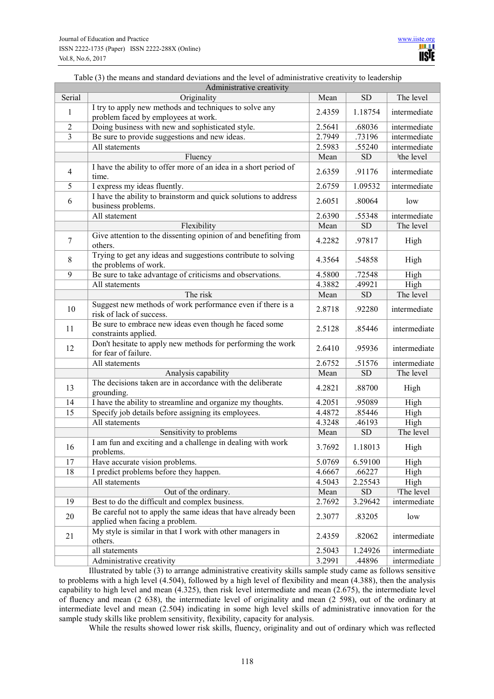# Table (3) the means and standard deviations and the level of administrative creativity to leadership

| Administrative creativity |                                                                                                 |                                  |            |              |  |  |  |  |
|---------------------------|-------------------------------------------------------------------------------------------------|----------------------------------|------------|--------------|--|--|--|--|
| Serial                    | Originality                                                                                     | Mean                             | <b>SD</b>  | The level    |  |  |  |  |
| 1                         | I try to apply new methods and techniques to solve any<br>problem faced by employees at work.   | 2.4359                           | 1.18754    | intermediate |  |  |  |  |
| $\sqrt{2}$                | Doing business with new and sophisticated style.                                                | 2.5641                           | .68036     | intermediate |  |  |  |  |
| $\overline{3}$            | Be sure to provide suggestions and new ideas.                                                   | 2.7949                           | .73196     | intermediate |  |  |  |  |
|                           | All statements                                                                                  | 2.5983<br>.55240<br>intermediate |            |              |  |  |  |  |
|                           | Fluency                                                                                         | Mean                             | <b>SD</b>  | the level    |  |  |  |  |
| $\overline{4}$            | I have the ability to offer more of an idea in a short period of<br>time.                       | 2.6359                           | .91176     | intermediate |  |  |  |  |
| 5                         | I express my ideas fluently.                                                                    | 2.6759                           | 1.09532    | intermediate |  |  |  |  |
|                           | I have the ability to brainstorm and quick solutions to address                                 |                                  |            |              |  |  |  |  |
| 6                         | business problems.                                                                              | 2.6051                           | .80064     | low          |  |  |  |  |
|                           | All statement                                                                                   | 2.6390                           | .55348     | intermediate |  |  |  |  |
|                           | Flexibility                                                                                     | Mean                             | SD         | The level    |  |  |  |  |
| $\overline{7}$            | Give attention to the dissenting opinion of and benefiting from<br>others.                      | 4.2282                           | .97817     | High         |  |  |  |  |
| 8                         | Trying to get any ideas and suggestions contribute to solving<br>the problems of work.          | 4.3564                           | .54858     | High         |  |  |  |  |
| 9                         | Be sure to take advantage of criticisms and observations.                                       | 4.5800                           | .72548     | High         |  |  |  |  |
|                           | All statements                                                                                  | 4.3882                           | .49921     | High         |  |  |  |  |
|                           | The risk                                                                                        | Mean                             | <b>SD</b>  | The level    |  |  |  |  |
| 10                        | Suggest new methods of work performance even if there is a<br>risk of lack of success.          | 2.8718                           | .92280     | intermediate |  |  |  |  |
| 11                        | Be sure to embrace new ideas even though he faced some<br>constraints applied.                  | 2.5128                           | .85446     | intermediate |  |  |  |  |
| 12                        | Don't hesitate to apply new methods for performing the work<br>for fear of failure.             | 2.6410                           | .95936     | intermediate |  |  |  |  |
|                           | All statements                                                                                  | 2.6752                           | .51576     | intermediate |  |  |  |  |
|                           | Analysis capability                                                                             | Mean                             | <b>SD</b>  | The level    |  |  |  |  |
| 13                        | The decisions taken are in accordance with the deliberate<br>grounding.                         | 4.2821                           | .88700     | High         |  |  |  |  |
| 14                        | I have the ability to streamline and organize my thoughts.                                      | 4.2051                           | .95089     | High         |  |  |  |  |
| 15                        | Specify job details before assigning its employees.                                             | 4.4872                           | .85446     | High         |  |  |  |  |
|                           | All statements                                                                                  | 4.3248                           | .46193     | High         |  |  |  |  |
|                           | Sensitivity to problems                                                                         | Mean                             | <b>SD</b>  | The level    |  |  |  |  |
| 16                        | I am fun and exciting and a challenge in dealing with work<br>problems.                         | 3.7692                           | 1.18013    | High         |  |  |  |  |
| 17                        | Have accurate vision problems.                                                                  | 5.0769                           | 6.59100    | High         |  |  |  |  |
| 18                        | I predict problems before they happen.                                                          | 4.6667                           | .66227     | High         |  |  |  |  |
|                           | All statements                                                                                  | 4.5043                           | 2.25543    | High         |  |  |  |  |
|                           | Out of the ordinary.                                                                            | Mean                             | ${\rm SD}$ | The level    |  |  |  |  |
| 19                        | Best to do the difficult and complex business.                                                  | 2.7692                           | 3.29642    | intermediate |  |  |  |  |
| 20                        | Be careful not to apply the same ideas that have already been<br>applied when facing a problem. | 2.3077                           | .83205     | low          |  |  |  |  |
| 21                        | My style is similar in that I work with other managers in<br>others.                            | 2.4359                           | .82062     | intermediate |  |  |  |  |
|                           | all statements                                                                                  | 2.5043                           | 1.24926    | intermediate |  |  |  |  |
|                           | Administrative creativity                                                                       | 3.2991                           | .44896     | intermediate |  |  |  |  |

Illustrated by table (3) to arrange administrative creativity skills sample study came as follows sensitive to problems with a high level (4.504), followed by a high level of flexibility and mean (4.388), then the analysis capability to high level and mean (4.325), then risk level intermediate and mean (2.675), the intermediate level of fluency and mean (2 638), the intermediate level of originality and mean (2 598), out of the ordinary at intermediate level and mean (2.504) indicating in some high level skills of administrative innovation for the sample study skills like problem sensitivity, flexibility, capacity for analysis.

While the results showed lower risk skills, fluency, originality and out of ordinary which was reflected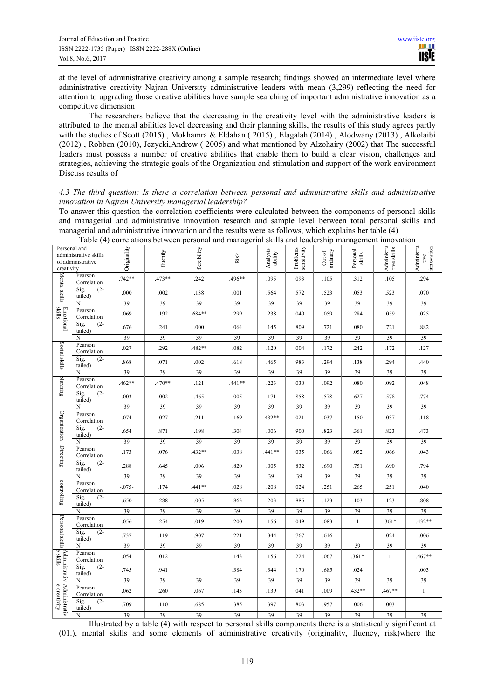at the level of administrative creativity among a sample research; findings showed an intermediate level where administrative creativity Najran University administrative leaders with mean (3,299) reflecting the need for attention to upgrading those creative abilities have sample searching of important administrative innovation as a competitive dimension

The researchers believe that the decreasing in the creativity level with the administrative leaders is attributed to the mental abilities level decreasing and their planning skills, the results of this study agrees partly with the studies of Scott (2015), Mokhamra & Eldahan (2015), Elagalah (2014), Alodwany (2013), Alkolaibi (2012) , Robben (2010), Jezycki,Andrew ( 2005) and what mentioned by Alzohairy (2002) that The successful leaders must possess a number of creative abilities that enable them to build a clear vision, challenges and strategies, achieving the strategic goals of the Organization and stimulation and support of the work environment Discuss results of

# *4.3 The third question: Is there a correlation between personal and administrative skills and administrative innovation in Najran University managerial leadership?*

To answer this question the correlation coefficients were calculated between the components of personal skills and managerial and administrative innovation research and sample level between total personal skills and managerial and administrative innovation and the results were as follows, which explains her table (4)

| Personal and<br>administrative skills<br>of administrative<br>creativity                                    |                           | Originality | fluently | flexibility  | Risk     | Analysis<br>ability | Problems<br>sensitivity | ordinary<br>Out of | Personal<br>skills | Administra<br>tive skills | Administra<br>tive<br>innovation |
|-------------------------------------------------------------------------------------------------------------|---------------------------|-------------|----------|--------------|----------|---------------------|-------------------------|--------------------|--------------------|---------------------------|----------------------------------|
| Mental skills                                                                                               | Pearson<br>Correlation    | $.742**$    | .473**   | .242         | .496**   | .095                | .093                    | .105               | .312               | .105                      | .294                             |
|                                                                                                             | Sig.<br>$(2 -$<br>tailed) | .000        | .002     | .138         | .001     | .564                | .572                    | .523               | .053               | .523                      | .070                             |
|                                                                                                             | N                         | 39          | 39       | 39           | 39       | 39                  | 39                      | 39                 | 39                 | 39                        | 39                               |
| Emotional<br>skills                                                                                         | Pearson<br>Correlation    | .069        | .192     | $.684**$     | .299     | .238                | .040                    | .059               | .284               | .059                      | .025                             |
|                                                                                                             | Sig.<br>$(2 -$<br>tailed) | .676        | .241     | .000         | .064     | .145                | .809                    | .721               | .080               | .721                      | .882                             |
|                                                                                                             | N                         | 39          | 39       | 39           | 39       | 39                  | 39                      | 39                 | 39                 | 39                        | 39                               |
|                                                                                                             | Pearson<br>Correlation    | .027        | .292     | $.482**$     | .082     | .120                | .004                    | .172               | .242               | .172                      | .127                             |
| Social skills                                                                                               | Sig.<br>$(2 -$<br>tailed) | .868        | .071     | .002         | .618     | .465                | .983                    | .294               | .138               | .294                      | .440                             |
|                                                                                                             | N                         | 39          | 39       | 39           | 39       | 39                  | 39                      | 39                 | 39                 | 39                        | 39                               |
| planning                                                                                                    | Pearson<br>Correlation    | $.462**$    | $.470**$ | .121         | $.441**$ | .223                | .030                    | .092               | .080               | .092                      | .048                             |
|                                                                                                             | Sig.<br>$(2 -$<br>tailed) | .003        | .002     | .465         | .005     | .171                | .858                    | .578               | .627               | .578                      | .774                             |
|                                                                                                             | N                         | 39          | 39       | 39           | 39       | 39                  | 39                      | 39                 | 39                 | 39                        | 39                               |
| Organization                                                                                                | Pearson<br>Correlation    | .074        | .027     | .211         | .169     | $.432**$            | .021                    | .037               | .150               | .037                      | .118                             |
|                                                                                                             | Sig.<br>$(2 -$<br>tailed) | .654        | .871     | .198         | .304     | .006                | .900                    | .823               | .361               | .823                      | .473                             |
|                                                                                                             | N                         | 39          | 39       | 39           | 39       | 39                  | 39                      | 39                 | 39                 | 39                        | 39                               |
| Directing                                                                                                   | Pearson<br>Correlation    | .173        | .076     | $.432**$     | .038     | $.441**$            | .035                    | .066               | .052               | .066                      | .043                             |
|                                                                                                             | Sig.<br>$(2 -$<br>tailed) | .288        | .645     | .006         | .820     | .005                | .832                    | .690               | .751               | .690                      | .794                             |
|                                                                                                             | N                         | 39          | 39       | 39           | 39       | 39                  | 39                      | 39                 | 39                 | 39                        | 39                               |
| controlling                                                                                                 | Pearson<br>Correlation    | $-0.075 -$  | .174     | $.441**$     | .028     | .208                | .024                    | .251               | .265               | .251                      | .040                             |
|                                                                                                             | Sig.<br>$(2 -$<br>tailed) | .650        | .288     | .005         | .863     | .203                | .885                    | .123               | .103               | .123                      | .808                             |
|                                                                                                             | N                         | 39          | 39       | 39           | 39       | 39                  | 39                      | 39                 | 39                 | 39                        | 39                               |
|                                                                                                             | Pearson<br>Correlation    | .056        | .254     | .019         | .200     | .156                | .049                    | .083               | $\mathbf{1}$       | $.361*$                   | $.432**$                         |
|                                                                                                             | Sig.<br>$(2 -$<br>tailed) | .737        | .119     | .907         | .221     | .344                | .767                    | .616               |                    | .024                      | .006                             |
|                                                                                                             | N                         | 39          | 39       | 39           | 39       | 39                  | 39                      | 39                 | 39                 | 39                        | 39                               |
| e skills                                                                                                    | Pearson<br>Correlation    | .054        | .012     | $\mathbf{1}$ | .143     | .156                | .224                    | .067               | $.361*$            | $\mathbf{1}$              | $.467**$                         |
| personal skills $\left[\begin{matrix} \Delta \text{dim}\text{inistr}\ \lambda & \cdots \end{matrix}\right]$ | Sig.<br>$(2 -$<br>tailed) | .745        | .941     |              | .384     | .344                | .170                    | .685               | .024               |                           | .003                             |
|                                                                                                             | N                         | 39          | 39       | 39           | 39       | 39                  | 39                      | 39                 | 39                 | 39                        | 39                               |
| Administrativ<br>e creativity                                                                               | Pearson<br>Correlation    | .062        | .260     | .067         | .143     | .139                | .041                    | .009               | .432**             | $.467**$                  | $\mathbf{1}$                     |
|                                                                                                             | Sig.<br>$(2 -$<br>tailed) | .709        | .110     | .685         | .385     | .397                | .803                    | .957               | .006               | .003                      |                                  |
|                                                                                                             | N                         | 39          | 39       | 39           | 39       | 39                  | 39                      | 39                 | 39                 | 39                        | 39                               |

Table (4) correlations between personal and managerial skills and leadership management innovation

Illustrated by a table (4) with respect to personal skills components there is a statistically significant at (01.), mental skills and some elements of administrative creativity (originality, fluency, risk)where the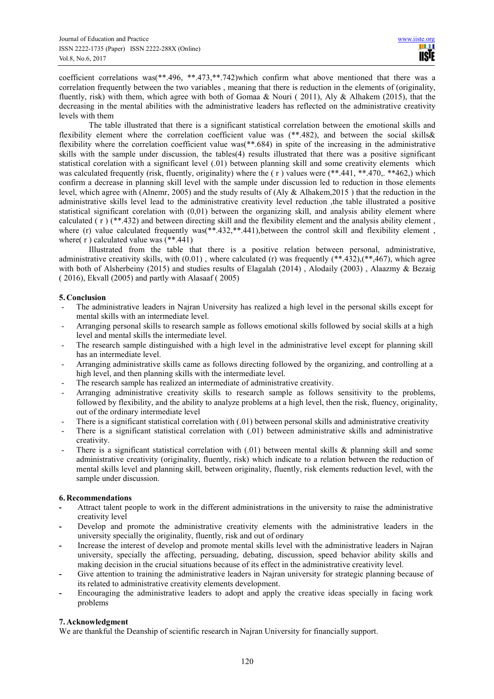coefficient correlations was(\*\*.496, \*\*.473,\*\*.742)which confirm what above mentioned that there was a correlation frequently between the two variables , meaning that there is reduction in the elements of (originality, fluently, risk) with them, which agree with both of Gomaa & Nouri ( 2011), Aly & Alhakem (2015), that the decreasing in the mental abilities with the administrative leaders has reflected on the administrative creativity levels with them

The table illustrated that there is a significant statistical correlation between the emotional skills and flexibility element where the correlation coefficient value was (\*\*.482), and between the social skills& flexibility where the correlation coefficient value was(\*\*.684) in spite of the increasing in the administrative skills with the sample under discussion, the tables(4) results illustrated that there was a positive significant statistical corelation with a significant level (.01) between planning skill and some creativity elements which was calculated frequently (risk, fluently, originality) where the (r) values were (\*\*.441, \*\*.470, \*\*462,) which confirm a decrease in planning skill level with the sample under discussion led to reduction in those elements level, which agree with (Alnemr, 2005) and the study results of (Aly & Alhakem,2015 ) that the reduction in the administrative skills level lead to the administrative creativity level reduction ,the table illustrated a positive statistical significant corelation with (0,01) between the organizing skill, and analysis ability element where calculated ( r ) (\*\*.432) and between directing skill and the flexibility element and the analysis ability element , where (r) value calculated frequently was(\*\*.432,\*\*.441), between the control skill and flexibility element, where(r) calculated value was  $(**.441)$ 

Illustrated from the table that there is a positive relation between personal, administrative, administrative creativity skills, with  $(0.01)$ , where calculated (r) was frequently  $(**.432)$ , $(**.467)$ , which agree with both of Alsherbeiny (2015) and studies results of Elagalah (2014), Alodaily (2003), Alaazmy & Bezaig ( 2016), Ekvall (2005) and partly with Alasaaf ( 2005)

# **5. Conclusion**

- The administrative leaders in Najran University has realized a high level in the personal skills except for mental skills with an intermediate level.
- Arranging personal skills to research sample as follows emotional skills followed by social skills at a high level and mental skills the intermediate level.
- The research sample distinguished with a high level in the administrative level except for planning skill has an intermediate level.
- Arranging administrative skills came as follows directing followed by the organizing, and controlling at a high level, and then planning skills with the intermediate level.
- The research sample has realized an intermediate of administrative creativity.
- Arranging administrative creativity skills to research sample as follows sensitivity to the problems, followed by flexibility, and the ability to analyze problems at a high level, then the risk, fluency, originality, out of the ordinary intermediate level
- There is a significant statistical correlation with (.01) between personal skills and administrative creativity
- There is a significant statistical correlation with (.01) between administrative skills and administrative creativity.
- There is a significant statistical correlation with  $(0.01)$  between mental skills & planning skill and some administrative creativity (originality, fluently, risk) which indicate to a relation between the reduction of mental skills level and planning skill, between originality, fluently, risk elements reduction level, with the sample under discussion.

# **6. Recommendations**

- **-** Attract talent people to work in the different administrations in the university to raise the administrative creativity level
- **-** Develop and promote the administrative creativity elements with the administrative leaders in the university specially the originality, fluently, risk and out of ordinary
- **-** Increase the interest of develop and promote mental skills level with the administrative leaders in Najran university, specially the affecting, persuading, debating, discussion, speed behavior ability skills and making decision in the crucial situations because of its effect in the administrative creativity level.
- **-** Give attention to training the administrative leaders in Najran university for strategic planning because of its related to administrative creativity elements development.
- **-** Encouraging the administrative leaders to adopt and apply the creative ideas specially in facing work problems

# **7. Acknowledgment**

We are thankful the Deanship of scientific research in Najran University for financially support.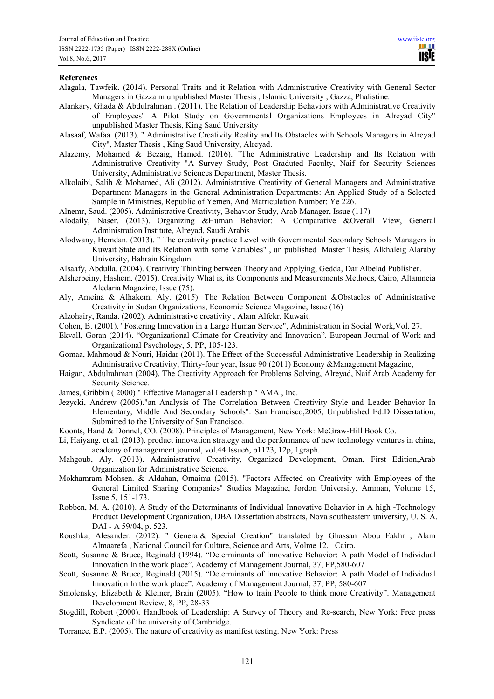#### **References**

- Alagala, Tawfeik. (2014). Personal Traits and it Relation with Administrative Creativity with General Sector Managers in Gazza m unpublished Master Thesis , Islamic University , Gazza, Phalistine.
- Alankary, Ghada & Abdulrahman . (2011). The Relation of Leadership Behaviors with Administrative Creativity of Employees" A Pilot Study on Governmental Organizations Employees in Alreyad City" unpublished Master Thesis, King Saud University
- Alasaaf, Wafaa. (2013). " Administrative Creativity Reality and Its Obstacles with Schools Managers in Alreyad City", Master Thesis , King Saud University, Alreyad.
- Alazemy, Mohamed & Bezaig, Hamed. (2016). "The Administrative Leadership and Its Relation with Administrative Creativity "A Survey Study, Post Graduted Faculty, Naif for Security Sciences University, Administrative Sciences Department, Master Thesis.
- Alkolaibi, Salih & Mohamed, Ali (2012). Administrative Creativity of General Managers and Administrative Department Managers in the General Administration Departments: An Applied Study of a Selected Sample in Ministries, Republic of Yemen, And Matriculation Number: Ye 226.
- Alnemr, Saud. (2005). Administrative Creativity, Behavior Study, Arab Manager, Issue (117)
- Alodaily, Naser. (2013). Organizing &Human Behavior: A Comparative &Overall View, General Administration Institute, Alreyad, Saudi Arabis
- Alodwany, Hemdan. (2013). " The creativity practice Level with Governmental Secondary Schools Managers in Kuwait State and Its Relation with some Variables" , un published Master Thesis, Alkhaleig Alaraby University, Bahrain Kingdum.
- Alsaafy, Abdulla. (2004). Creativity Thinking between Theory and Applying, Gedda, Dar Albelad Publisher.
- Alsherbeiny, Hashem. (2015). Creativity What is, its Components and Measurements Methods, Cairo, Altanmeia Aledaria Magazine, Issue (75).
- Aly, Ameina & Alhakem, Aly. (2015). The Relation Between Component &Obstacles of Administrative Creativity in Sudan Organizations, Economic Science Magazine, Issue (16)
- Alzohairy, Randa. (2002). Administrative creativity , Alam Alfekr, Kuwait.
- Cohen, B. (2001). "Fostering Innovation in a Large Human Service", Administration in Social Work,Vol. 27.
- Ekvall, Goran (2014). "Organizational Climate for Creativity and Innovation". European Journal of Work and Organizational Psychology, 5, PP, 105-123.
- Gomaa, Mahmoud & Nouri, Haidar (2011). The Effect of the Successful Administrative Leadership in Realizing Administrative Creativity, Thirty-four year, Issue 90 (2011) Economy &Management Magazine,
- Haigan, Abdulrahman (2004). The Creativity Approach for Problems Solving, Alreyad, Naif Arab Academy for Security Science.
- James, Gribbin ( 2000) " Effective Managerial Leadership " AMA , Inc.
- Jezycki, Andrew (2005)."an Analysis of The Correlation Between Creativity Style and Leader Behavior In Elementary, Middle And Secondary Schools". San Francisco,2005, Unpublished Ed.D Dissertation, Submitted to the University of San Francisco.
- Koonts, Hand & Donnel, CO. (2008). Principles of Management, New York: MeGraw-Hill Book Co.
- Li, Haiyang. et al. (2013). product innovation strategy and the performance of new technology ventures in china, academy of management journal, vol.44 Issue6, p1123, 12p, 1graph.
- Mahgoub, Aly. (2013). Administrative Creativity, Organized Development, Oman, First Edition,Arab Organization for Administrative Science.
- Mokhamram Mohsen. & Aldahan, Omaima (2015). "Factors Affected on Creativity with Employees of the General Limited Sharing Companies" Studies Magazine, Jordon University, Amman, Volume 15, Issue 5, 151-173.
- Robben, M. A. (2010). A Study of the Determinants of Individual Innovative Behavior in A high -Technology Product Development Organization, DBA Dissertation abstracts, Nova southeastern university, U. S. A. DAI - A 59/04, p. 523.
- Roushka, Alesander. (2012). " General& Special Creation" translated by Ghassan Abou Fakhr , Alam Almaarefa , National Council for Culture, Science and Arts, Volme 12, Cairo.
- Scott, Susanne & Bruce, Reginald (1994). "Determinants of Innovative Behavior: A path Model of Individual Innovation In the work place". Academy of Management Journal, 37, PP,580-607
- Scott, Susanne & Bruce, Reginald (2015). "Determinants of Innovative Behavior: A path Model of Individual Innovation In the work place". Academy of Management Journal, 37, PP, 580-607
- Smolensky, Elizabeth & Kleiner, Brain (2005). "How to train People to think more Creativity". Management Development Review, 8, PP, 28-33
- Stogdill, Robert (2000). Handbook of Leadership: A Survey of Theory and Re-search, New York: Free press Syndicate of the university of Cambridge.
- Torrance, E.P. (2005). The nature of creativity as manifest testing. New York: Press